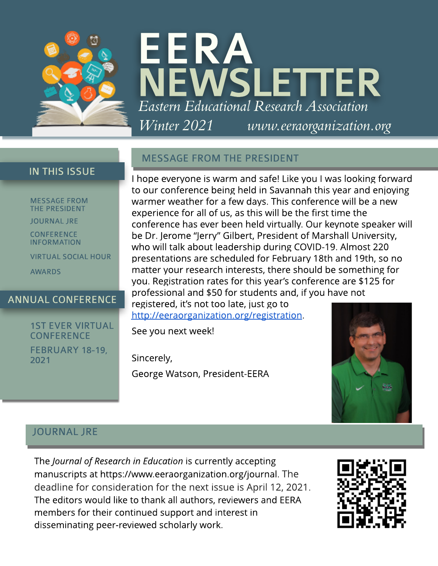

# EERA **WSLETTER EasternEducational ResearchAssociation Winter 2021 [www.eeraorganization.org](http://www.eeraorganization.org)**

## **IN THIS ISSUE**

**MESSAGE FROM THE PRESIDENT** 

JOURNAL JRE

**CONFERENCE** INFORMATION

VIRTUAL SOCIAL HOUR

AWARDS

## ANNUAL CONFERENCE

## **1ST EVER VIRTUAL CONFERENCE**

FEBRUARY 18-19, 2021

## **MESSAGE FROM THE PRESIDENT**

I hope everyone is warm and safe! Like you I was looking forward to our conference being held in Savannah this year and enjoying warmer weather for a few days. This conference will be a new experience for all of us, as this will be the first time the conference has ever been held virtually. Our keynote speaker will be Dr. Jerome "Jerry" Gilbert, President of Marshall University, who will talk about leadership during COVID-19. Almost 220 presentations are scheduled for February 18th and 19th, so no matter your research interests, there should be something for you. Registration rates for this year?s conference are \$125 for professional and \$50 for students and, if you have not registered, it's not too late, just go to <http://eeraorganization.org/registration>.

See you next week!

Sincerely,

George Watson, President-EERA



## JOURNAL JRE

The **Journal of Research in Education** is currently accepting manuscripts at https://www.eeraorganization.org/journal. The deadline for consideration for the next issue is April 12, 2021. The editors would like to thank all authors, reviewers and EERA members for their continued support and interest in disseminating peer-reviewed scholarly work.

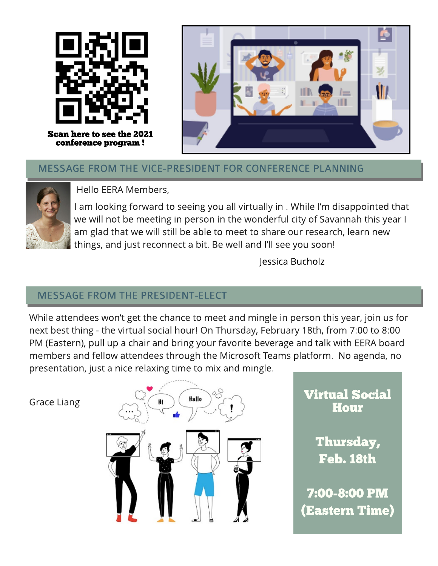

Scan here to see the 2021 conference program !



# MESSAGE FROM THE VICE-PRESIDENT FOR CONFERENCE PLANNING



Hello EERA Members,

I am looking forward to seeing you all virtually in . While I?m disappointed that we will not be meeting in person in the wonderful city of Savannah this year I am glad that we will still be able to meet to share our research, learn new things, and just reconnect a bit. Be well and I'll see you soon!

Jessica Bucholz

# **MESSAGE FROM THE PRESIDENT-ELECT**

While attendees won't get the chance to meet and mingle in person this year, join us for next best thing - the virtual social hour! On Thursday, February 18th, from 7:00 to 8:00 PM (Eastern), pull up a chair and bring your favorite beverage and talk with EERA board members and fellow attendees through the Microsoft Teams platform. No agenda, no presentation, just a nice relaxing time to mix and mingle.

Grace Liang